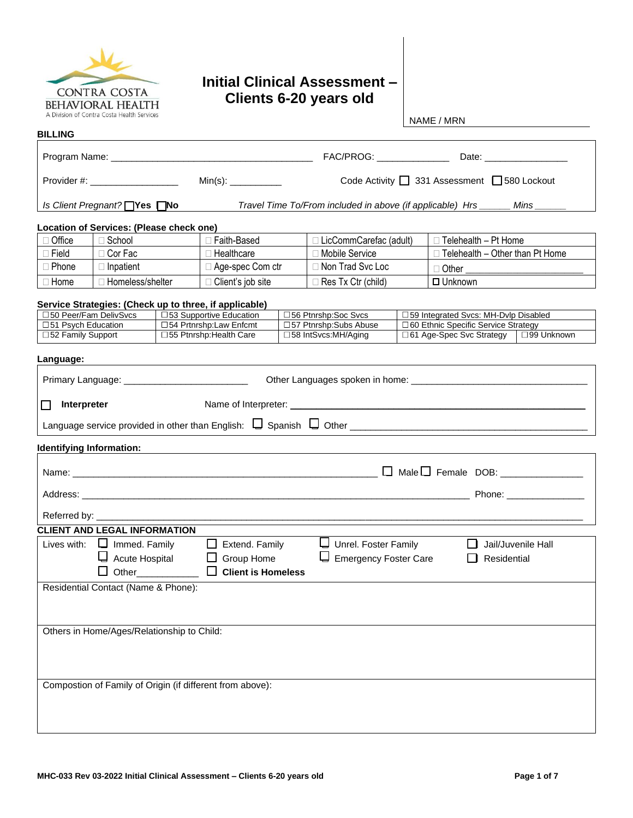

## **Initial Clinical Assessment – Clients 6-20 years old**

NAME / MRN

| <b>BILLING</b>                 |                                                  |  |                                                                                    |                                                         |                                                                 |                                                                                |                                                           |                                                                                                                                                                                                                                |  |
|--------------------------------|--------------------------------------------------|--|------------------------------------------------------------------------------------|---------------------------------------------------------|-----------------------------------------------------------------|--------------------------------------------------------------------------------|-----------------------------------------------------------|--------------------------------------------------------------------------------------------------------------------------------------------------------------------------------------------------------------------------------|--|
|                                |                                                  |  |                                                                                    |                                                         | FAC/PROG: _______________                                       |                                                                                |                                                           |                                                                                                                                                                                                                                |  |
| Provider #: __________________ |                                                  |  |                                                                                    | Code Activity 1 331 Assessment 1580 Lockout             |                                                                 |                                                                                |                                                           |                                                                                                                                                                                                                                |  |
|                                | <i>Is Client Pregnant?</i> Nes DNo               |  |                                                                                    |                                                         | Travel Time To/From included in above (if applicable) Hrs _____ |                                                                                |                                                           | Mins                                                                                                                                                                                                                           |  |
|                                | Location of Services: (Please check one)         |  |                                                                                    |                                                         |                                                                 |                                                                                |                                                           |                                                                                                                                                                                                                                |  |
| □ Office                       | □ School                                         |  | □ Faith-Based                                                                      | □ LicCommCarefac (adult)<br>$\Box$ Telehealth - Pt Home |                                                                 |                                                                                |                                                           |                                                                                                                                                                                                                                |  |
| $\Box$ Field                   | $\Box$ Cor Fac                                   |  | $\Box$ Healthcare                                                                  | □ Mobile Service                                        |                                                                 |                                                                                |                                                           |                                                                                                                                                                                                                                |  |
| $\Box$ Phone                   | $\Box$ Inpatient                                 |  | □ Age-spec Com ctr                                                                 |                                                         | $\Box$ Telehealth - Other than Pt Home<br>□ Non Trad Svc Loc    |                                                                                |                                                           |                                                                                                                                                                                                                                |  |
| $\Box$ Home                    | □ Homeless/shelter                               |  | □ Client's job site                                                                |                                                         | □ Res Tx Ctr (child)                                            |                                                                                | □ Other <u>________________________</u><br>$\Box$ Unknown |                                                                                                                                                                                                                                |  |
|                                |                                                  |  |                                                                                    |                                                         |                                                                 |                                                                                |                                                           |                                                                                                                                                                                                                                |  |
|                                | □50 Peer/Fam DelivSvcs                           |  | Service Strategies: (Check up to three, if applicable)<br>□53 Supportive Education |                                                         | □56 Ptnrshp:Soc Svcs                                            |                                                                                |                                                           |                                                                                                                                                                                                                                |  |
| □51 Psych Education            |                                                  |  | □54 Prtnrshp:Law Enfcmt                                                            |                                                         | □57 Ptnrshp:Subs Abuse                                          | □59 Integrated Svcs: MH-Dvlp Disabled<br>□ 60 Ethnic Specific Service Strategy |                                                           |                                                                                                                                                                                                                                |  |
| □52 Family Support             |                                                  |  | □55 Ptnrshp: Health Care                                                           |                                                         | □58 IntSvcs:MH/Aging                                            |                                                                                | □99 Unknown<br>□ 61 Age-Spec Svc Strategy                 |                                                                                                                                                                                                                                |  |
| Language:                      |                                                  |  |                                                                                    |                                                         |                                                                 |                                                                                |                                                           |                                                                                                                                                                                                                                |  |
|                                |                                                  |  |                                                                                    |                                                         |                                                                 |                                                                                |                                                           |                                                                                                                                                                                                                                |  |
|                                | Primary Language: ______________________________ |  |                                                                                    |                                                         |                                                                 |                                                                                |                                                           |                                                                                                                                                                                                                                |  |
|                                |                                                  |  |                                                                                    |                                                         |                                                                 |                                                                                |                                                           |                                                                                                                                                                                                                                |  |
| Interpreter<br>l 1             |                                                  |  |                                                                                    |                                                         |                                                                 |                                                                                |                                                           |                                                                                                                                                                                                                                |  |
|                                |                                                  |  |                                                                                    |                                                         |                                                                 |                                                                                |                                                           |                                                                                                                                                                                                                                |  |
|                                |                                                  |  |                                                                                    |                                                         |                                                                 |                                                                                |                                                           |                                                                                                                                                                                                                                |  |
|                                | <b>Identifying Information:</b>                  |  |                                                                                    |                                                         |                                                                 |                                                                                |                                                           |                                                                                                                                                                                                                                |  |
|                                |                                                  |  |                                                                                    |                                                         | Name: $\Box$                                                    |                                                                                |                                                           |                                                                                                                                                                                                                                |  |
|                                |                                                  |  |                                                                                    |                                                         |                                                                 |                                                                                |                                                           |                                                                                                                                                                                                                                |  |
|                                |                                                  |  |                                                                                    |                                                         |                                                                 |                                                                                |                                                           | Phone: the contract of the contract of the contract of the contract of the contract of the contract of the contract of the contract of the contract of the contract of the contract of the contract of the contract of the con |  |
|                                |                                                  |  |                                                                                    |                                                         |                                                                 |                                                                                |                                                           |                                                                                                                                                                                                                                |  |
|                                | <b>CLIENT AND LEGAL INFORMATION</b>              |  |                                                                                    |                                                         |                                                                 |                                                                                |                                                           |                                                                                                                                                                                                                                |  |
|                                | Lives with: $\Box$ Immed. Family                 |  | $\Box$ Extend. Family                                                              |                                                         | Unrel. Foster Family                                            |                                                                                |                                                           | Jail/Juvenile Hall                                                                                                                                                                                                             |  |
|                                | Acute Hospital                                   |  | Group Home                                                                         |                                                         | Emergency Foster Care                                           |                                                                                | Residential                                               |                                                                                                                                                                                                                                |  |
|                                | $\Box$ Other                                     |  | $\Box$<br><b>Client is Homeless</b>                                                |                                                         |                                                                 |                                                                                |                                                           |                                                                                                                                                                                                                                |  |
|                                | Residential Contact (Name & Phone):              |  |                                                                                    |                                                         |                                                                 |                                                                                |                                                           |                                                                                                                                                                                                                                |  |
|                                |                                                  |  |                                                                                    |                                                         |                                                                 |                                                                                |                                                           |                                                                                                                                                                                                                                |  |
|                                |                                                  |  |                                                                                    |                                                         |                                                                 |                                                                                |                                                           |                                                                                                                                                                                                                                |  |
|                                |                                                  |  |                                                                                    |                                                         |                                                                 |                                                                                |                                                           |                                                                                                                                                                                                                                |  |
|                                | Others in Home/Ages/Relationship to Child:       |  |                                                                                    |                                                         |                                                                 |                                                                                |                                                           |                                                                                                                                                                                                                                |  |
|                                |                                                  |  |                                                                                    |                                                         |                                                                 |                                                                                |                                                           |                                                                                                                                                                                                                                |  |
|                                |                                                  |  |                                                                                    |                                                         |                                                                 |                                                                                |                                                           |                                                                                                                                                                                                                                |  |
|                                |                                                  |  |                                                                                    |                                                         |                                                                 |                                                                                |                                                           |                                                                                                                                                                                                                                |  |
|                                |                                                  |  | Compostion of Family of Origin (if different from above):                          |                                                         |                                                                 |                                                                                |                                                           |                                                                                                                                                                                                                                |  |
|                                |                                                  |  |                                                                                    |                                                         |                                                                 |                                                                                |                                                           |                                                                                                                                                                                                                                |  |
|                                |                                                  |  |                                                                                    |                                                         |                                                                 |                                                                                |                                                           |                                                                                                                                                                                                                                |  |
|                                |                                                  |  |                                                                                    |                                                         |                                                                 |                                                                                |                                                           |                                                                                                                                                                                                                                |  |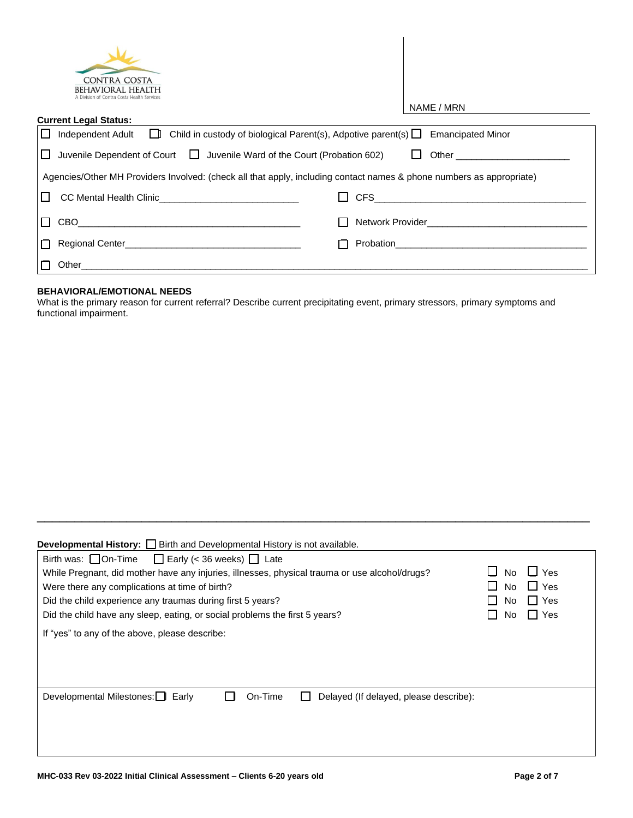| <b>CONTRA COSTA</b><br><b><i>REHAVIORAL HEALTH</i></b><br>A Division of Contra Costa Health Services                                   |                                                                                                                                                                                                                                    |
|----------------------------------------------------------------------------------------------------------------------------------------|------------------------------------------------------------------------------------------------------------------------------------------------------------------------------------------------------------------------------------|
|                                                                                                                                        | NAME / MRN                                                                                                                                                                                                                         |
| <b>Current Legal Status:</b>                                                                                                           |                                                                                                                                                                                                                                    |
| Independent Adult $\Box$ Child in custody of biological Parent(s), Adpotive parent(s) $\Box$<br>$\Box$                                 | <b>Emancipated Minor</b>                                                                                                                                                                                                           |
| $\Box$ Juvenile Dependent of Court $\Box$ Juvenile Ward of the Court (Probation 602)                                                   | Other the contract of the contract of the contract of the contract of the contract of the contract of the contract of the contract of the contract of the contract of the contract of the contract of the contract of the cont     |
| Agencies/Other MH Providers Involved: (check all that apply, including contact names & phone numbers as appropriate)                   |                                                                                                                                                                                                                                    |
| $\perp$                                                                                                                                | <b>CFS</b><br><u> 1980 - Jan James James James James James James James James James James James James James James James James Ja</u>                                                                                                |
| CBO<br>$\perp$<br><u> 1989 - Johann John Stein, markin fan it ferskearre fan it ferskearre fan it ferskearre fan it ferskearre fan</u> | Network Provider <b>Network</b> Provider                                                                                                                                                                                           |
|                                                                                                                                        | <b>Probation Contract Contract Contract Contract Contract Contract Contract Contract Contract Contract Contract Contract Contract Contract Contract Contract Contract Contract Contract Contract Contract Contract Contract Co</b> |
| Other                                                                                                                                  |                                                                                                                                                                                                                                    |

## **BEHAVIORAL/EMOTIONAL NEEDS**

What is the primary reason for current referral? Describe current precipitating event, primary stressors, primary symptoms and functional impairment.

| <b>Developmental History:</b> $\Box$ Birth and Developmental History is not available.                                                                                                                                                                                                                                                                           |                               |                                         |
|------------------------------------------------------------------------------------------------------------------------------------------------------------------------------------------------------------------------------------------------------------------------------------------------------------------------------------------------------------------|-------------------------------|-----------------------------------------|
| Birth was: $\Box$ On-Time $\Box$ Early (< 36 weeks) $\Box$ Late<br>While Pregnant, did mother have any injuries, illnesses, physical trauma or use alcohol/drugs?<br>Were there any complications at time of birth?<br>Did the child experience any traumas during first 5 years?<br>Did the child have any sleep, eating, or social problems the first 5 years? | <b>No</b><br>No.<br>No<br>No. | $\Box$ Yes<br>I I Yes<br>∏ Yes<br>∏ Yes |
| If "yes" to any of the above, please describe:                                                                                                                                                                                                                                                                                                                   |                               |                                         |
| Developmental Milestones: Early<br>On-Time<br>Delayed (If delayed, please describe):                                                                                                                                                                                                                                                                             |                               |                                         |

\_\_\_\_\_\_\_\_\_\_\_\_\_\_\_\_\_\_\_\_\_\_\_\_\_\_\_\_\_\_\_\_\_\_\_\_\_\_\_\_\_\_\_\_\_\_\_\_\_\_\_\_\_\_\_\_\_\_\_\_\_\_\_\_\_\_\_\_\_\_\_\_\_\_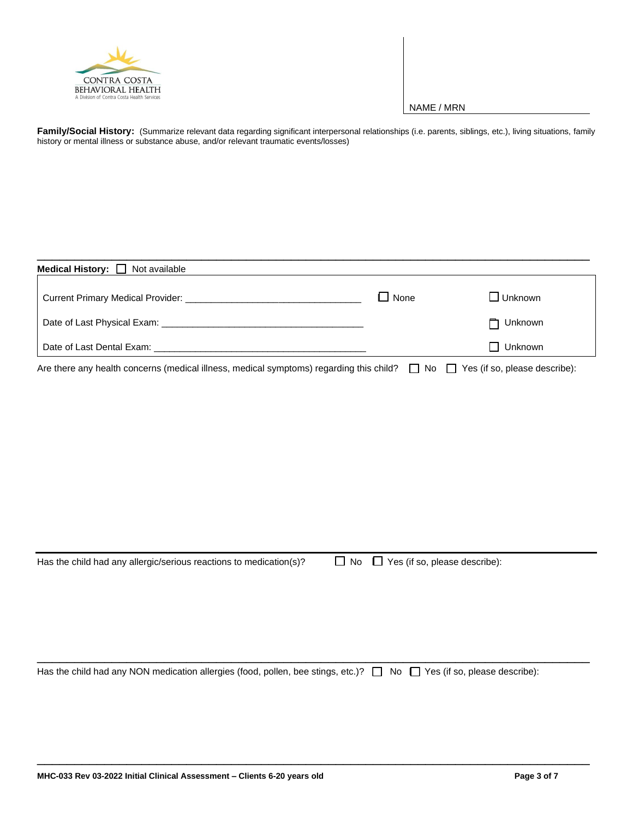

## NAME / MRN

Family/Social History: (Summarize relevant data regarding significant interpersonal relationships (i.e. parents, siblings, etc.), living situations, family history or mental illness or substance abuse, and/or relevant traumatic events/losses)

| <b>Medical History:</b> $\Box$ Not available                                                                                           |             |                |
|----------------------------------------------------------------------------------------------------------------------------------------|-------------|----------------|
|                                                                                                                                        | $\Box$ None | $\Box$ Unknown |
|                                                                                                                                        |             | Unknown<br>┑   |
| Date of Last Dental Exam: New York Care and State of Last Dental Branch Care and State and State Care and State A                      |             | Unknown        |
| Are there any health concerns (medical illness, medical symptoms) regarding this child? $\Box$ No $\Box$ Yes (if so, please describe): |             |                |

\_\_\_\_\_\_\_\_\_\_\_\_\_\_\_\_\_\_\_\_\_\_\_\_\_\_\_\_\_\_\_\_\_\_\_\_\_\_\_\_\_\_\_\_\_\_\_\_\_\_\_\_\_\_\_\_\_\_\_\_\_\_\_\_\_\_\_\_\_\_\_\_\_\_

Has the child had any allergic/serious reactions to medication(s)?  $\square$  No  $\square$  Yes (if so, please describe):

Has the child had any NON medication allergies (food, pollen, bee stings, etc.)?  $\Box$  No  $\Box$  Yes (if so, please describe):

\_\_\_\_\_\_\_\_\_\_\_\_\_\_\_\_\_\_\_\_\_\_\_\_\_\_\_\_\_\_\_\_\_\_\_\_\_\_\_\_\_\_\_\_\_\_\_\_\_\_\_\_\_\_\_\_\_\_\_\_\_\_\_\_\_\_\_\_\_\_\_\_\_\_

\_\_\_\_\_\_\_\_\_\_\_\_\_\_\_\_\_\_\_\_\_\_\_\_\_\_\_\_\_\_\_\_\_\_\_\_\_\_\_\_\_\_\_\_\_\_\_\_\_\_\_\_\_\_\_\_\_\_\_\_\_\_\_\_\_\_\_\_\_\_\_\_\_\_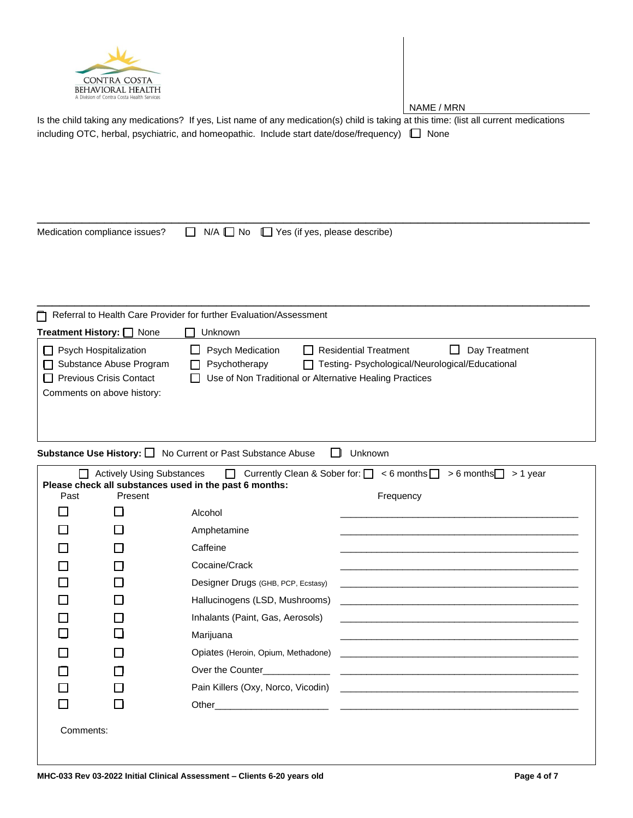

NAME / MRN

Is the child taking any medications? If yes, List name of any medication(s) child is taking at this time: (list all current medications including OTC, herbal, psychiatric, and homeopathic. Include start date/dose/frequency)  $\Box$  None

Medication compliance issues?  $\Box$  N/A  $\Box$  No  $\Box$  Yes (if yes, please describe)

\_\_\_\_\_\_\_\_\_\_\_\_\_\_\_\_\_\_\_\_\_\_\_\_\_\_\_\_\_\_\_\_\_\_\_\_\_\_\_\_\_\_\_\_\_\_\_\_\_\_\_\_\_\_\_\_\_\_\_\_\_\_\_\_\_\_\_\_\_\_\_\_\_\_

\_\_\_\_\_\_\_\_\_\_\_\_\_\_\_\_\_\_\_\_\_\_\_\_\_\_\_\_\_\_\_\_\_\_\_\_\_\_\_\_\_\_\_\_\_\_\_\_\_\_\_\_\_\_\_\_\_\_\_\_\_\_\_\_\_\_\_\_\_\_\_\_\_\_

| Referral to Health Care Provider for further Evaluation/Assessment                                          |                                                                                                                                                                                                                                |  |  |  |  |  |
|-------------------------------------------------------------------------------------------------------------|--------------------------------------------------------------------------------------------------------------------------------------------------------------------------------------------------------------------------------|--|--|--|--|--|
| Treatment History: O None                                                                                   | Unknown                                                                                                                                                                                                                        |  |  |  |  |  |
| Psych Hospitalization<br>□ Substance Abuse Program<br>Previous Crisis Contact<br>Comments on above history: | <b>Psych Medication</b><br>$\Box$ Residential Treatment<br>Day Treatment<br>$\mathbf{I}$<br>Psychotherapy<br>□ Testing- Psychological/Neurological/Educational<br>Use of Non Traditional or Alternative Healing Practices<br>H |  |  |  |  |  |

**Substance Use History:** □ No Current or Past Substance Abuse □ Unknown

| Currently Clean & Sober for: $\Box$ < 6 months $\Box$ > 6 months $\Box$<br><b>Actively Using Substances</b><br><b>Contract Contract</b><br>> 1 year<br>Please check all substances used in the past 6 months: |         |                                                                                                                                     |  |  |  |
|---------------------------------------------------------------------------------------------------------------------------------------------------------------------------------------------------------------|---------|-------------------------------------------------------------------------------------------------------------------------------------|--|--|--|
| Past                                                                                                                                                                                                          | Present | Frequency                                                                                                                           |  |  |  |
|                                                                                                                                                                                                               |         | Alcohol                                                                                                                             |  |  |  |
|                                                                                                                                                                                                               |         | Amphetamine<br><u> 1989 - Johann Stoff, amerikansk politiker (* 1908)</u>                                                           |  |  |  |
|                                                                                                                                                                                                               |         | Caffeine                                                                                                                            |  |  |  |
|                                                                                                                                                                                                               |         | Cocaine/Crack                                                                                                                       |  |  |  |
|                                                                                                                                                                                                               |         | Designer Drugs (GHB, PCP, Ecstasy)                                                                                                  |  |  |  |
|                                                                                                                                                                                                               |         | Hallucinogens (LSD, Mushrooms)<br><u> 1989 - Jan Alexander Alexander (h. 1982).</u>                                                 |  |  |  |
|                                                                                                                                                                                                               |         | Inhalants (Paint, Gas, Aerosols)                                                                                                    |  |  |  |
|                                                                                                                                                                                                               |         | Marijuana<br><u> 1980 - An Dùbhlachd ann an Dùbhlachd ann an Dùbhlachd ann an Dùbhlachd ann an Dùbhlachd ann an Dùbhlachd ann a</u> |  |  |  |
|                                                                                                                                                                                                               |         |                                                                                                                                     |  |  |  |
|                                                                                                                                                                                                               |         |                                                                                                                                     |  |  |  |
|                                                                                                                                                                                                               |         |                                                                                                                                     |  |  |  |
|                                                                                                                                                                                                               |         |                                                                                                                                     |  |  |  |
| Comments:                                                                                                                                                                                                     |         |                                                                                                                                     |  |  |  |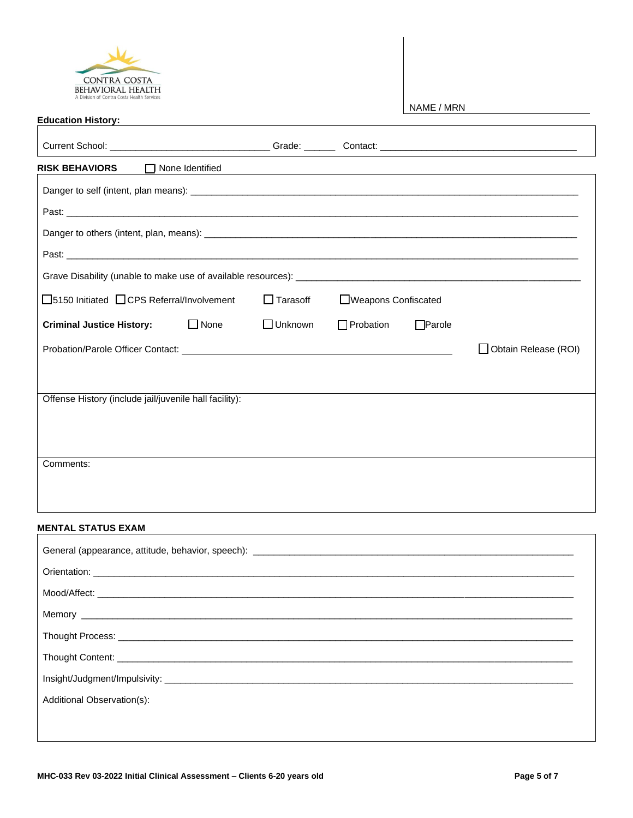

| <b>CONTINA COSTA</b><br><b>BEHAVIORAL HEALTH</b>                                                                                                                                                                               |             |                 |                      |               |                        |
|--------------------------------------------------------------------------------------------------------------------------------------------------------------------------------------------------------------------------------|-------------|-----------------|----------------------|---------------|------------------------|
|                                                                                                                                                                                                                                |             |                 |                      | NAME / MRN    |                        |
| Education History: New York Contract Contract Contract Contract Contract Contract Contract Contract Contract Contract Contract Contract Contract Contract Contract Contract Contract Contract Contract Contract Contract Contr |             |                 |                      |               |                        |
|                                                                                                                                                                                                                                |             |                 |                      |               |                        |
| $\Box$ None Identified<br><b>RISK BEHAVIORS</b>                                                                                                                                                                                |             |                 |                      |               |                        |
|                                                                                                                                                                                                                                |             |                 |                      |               |                        |
|                                                                                                                                                                                                                                |             |                 |                      |               |                        |
|                                                                                                                                                                                                                                |             |                 |                      |               |                        |
|                                                                                                                                                                                                                                |             |                 |                      |               |                        |
|                                                                                                                                                                                                                                |             |                 |                      |               |                        |
| □5150 Initiated □ CPS Referral/Involvement                                                                                                                                                                                     |             | $\Box$ Tarasoff | □Weapons Confiscated |               |                        |
| <b>Criminal Justice History:</b>                                                                                                                                                                                               | $\Box$ None | $\Box$ Unknown  | $\Box$ Probation     | $\Box$ Parole |                        |
|                                                                                                                                                                                                                                |             |                 |                      |               | □ Obtain Release (ROI) |
|                                                                                                                                                                                                                                |             |                 |                      |               |                        |
| Offense History (include jail/juvenile hall facility):                                                                                                                                                                         |             |                 |                      |               |                        |
|                                                                                                                                                                                                                                |             |                 |                      |               |                        |
|                                                                                                                                                                                                                                |             |                 |                      |               |                        |
| Comments:                                                                                                                                                                                                                      |             |                 |                      |               |                        |
|                                                                                                                                                                                                                                |             |                 |                      |               |                        |
|                                                                                                                                                                                                                                |             |                 |                      |               |                        |
| <b>MENTAL STATUS EXAM</b>                                                                                                                                                                                                      |             |                 |                      |               |                        |

## General (appearance, attitude, behavior, speech): \_\_\_\_\_\_\_\_\_\_\_\_\_\_\_\_\_\_\_\_\_\_\_\_\_\_\_\_\_\_\_\_\_\_\_\_\_\_\_\_\_\_\_\_\_\_\_\_\_\_\_\_\_\_\_\_\_\_\_\_\_\_ Orientation: \_\_\_\_\_\_\_\_\_\_\_\_\_\_\_\_\_\_\_\_\_\_\_\_\_\_\_\_\_\_\_\_\_\_\_\_\_\_\_\_\_\_\_\_\_\_\_\_\_\_\_\_\_\_\_\_\_\_\_\_\_\_\_\_\_\_\_\_\_\_\_\_\_\_\_\_\_\_\_\_\_\_\_\_\_\_\_\_\_\_\_\_\_ Mood/Affect: \_\_\_\_\_\_\_\_\_\_\_\_\_\_\_\_\_\_\_\_\_\_\_\_\_\_\_\_\_\_\_\_\_\_\_\_\_\_\_\_\_\_\_\_\_\_\_\_\_\_\_\_\_\_\_\_\_\_\_\_\_\_\_\_\_\_\_\_\_\_\_\_\_\_\_\_\_\_\_\_\_\_\_\_\_\_\_\_\_\_\_\_ Memory \_\_\_\_\_\_\_\_\_\_\_\_\_\_\_\_\_\_\_\_\_\_\_\_\_\_\_\_\_\_\_\_\_\_\_\_\_\_\_\_\_\_\_\_\_\_\_\_\_\_\_\_\_\_\_\_\_\_\_\_\_\_\_\_\_\_\_\_\_\_\_\_\_\_\_\_\_\_\_\_\_\_\_\_\_\_\_\_\_\_\_\_\_\_\_ Thought Process: \_\_\_\_\_\_\_\_\_\_\_\_\_\_\_\_\_\_\_\_\_\_\_\_\_\_\_\_\_\_\_\_\_\_\_\_\_\_\_\_\_\_\_\_\_\_\_\_\_\_\_\_\_\_\_\_\_\_\_\_\_\_\_\_\_\_\_\_\_\_\_\_\_\_\_\_\_\_\_\_\_\_\_\_\_\_\_\_ Thought Content: \_\_\_\_\_\_\_\_\_\_\_\_\_\_\_\_\_\_\_\_\_\_\_\_\_\_\_\_\_\_\_\_\_\_\_\_\_\_\_\_\_\_\_\_\_\_\_\_\_\_\_\_\_\_\_\_\_\_\_\_\_\_\_\_\_\_\_\_\_\_\_\_\_\_\_\_\_\_\_\_\_\_\_\_\_\_\_\_ Insight/Judgment/Impulsivity: \_\_\_\_\_\_\_\_\_\_\_\_\_\_\_\_\_\_\_\_\_\_\_\_\_\_\_\_\_\_\_\_\_\_\_\_\_\_\_\_\_\_\_\_\_\_\_\_\_\_\_\_\_\_\_\_\_\_\_\_\_\_\_\_\_\_\_\_\_\_\_\_\_\_\_\_\_\_\_ Additional Observation(s):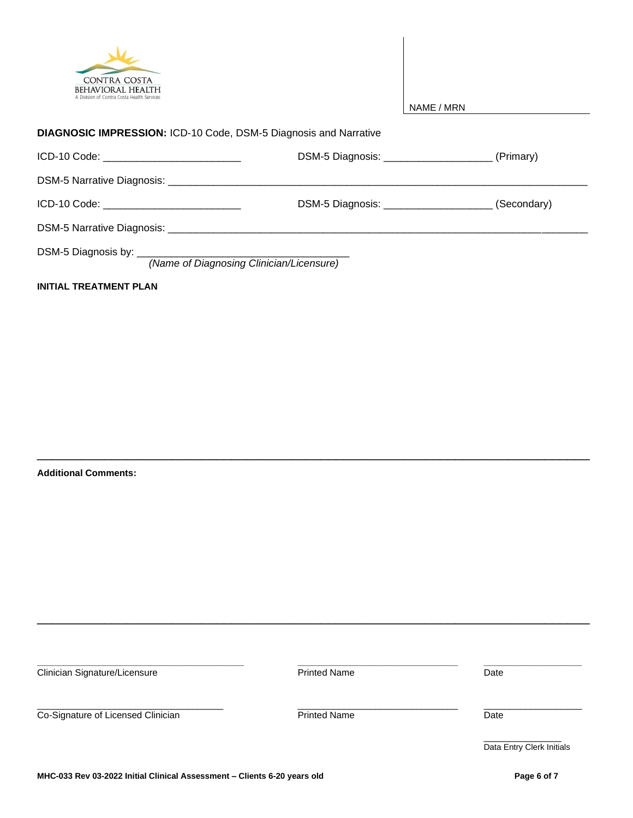

| A Division of Contra Costa Health Services                              |                  | NAME / MRN |             |
|-------------------------------------------------------------------------|------------------|------------|-------------|
| <b>DIAGNOSIC IMPRESSION: ICD-10 Code, DSM-5 Diagnosis and Narrative</b> |                  |            |             |
| ICD-10 Code: _____________________________                              | DSM-5 Diagnosis: |            | (Primary)   |
|                                                                         |                  |            |             |
| ICD-10 Code:                                                            | DSM-5 Diagnosis: |            | (Secondary) |

DSM-5 Narrative Diagnosis: \_\_\_\_\_\_\_\_\_\_\_\_\_\_\_\_\_\_\_\_\_\_\_\_\_\_\_\_\_\_\_\_\_\_\_\_\_\_\_\_\_\_\_\_\_\_\_\_\_\_\_\_\_\_\_\_\_\_\_\_\_\_\_\_\_\_\_\_\_\_\_\_\_

DSM-5 Diagnosis by: \_

*(Name of Diagnosing Clinician/Licensure)*

**INITIAL TREATMENT PLAN**

**Additional Comments:**

**\_\_\_\_\_\_\_\_\_\_\_\_\_\_\_\_\_\_\_\_\_\_\_\_\_\_\_\_\_\_\_\_\_\_\_\_\_\_\_\_ \_\_\_\_\_\_\_\_\_\_\_\_\_\_\_\_\_\_\_\_\_\_\_\_\_\_\_\_\_\_\_ \_\_\_\_\_\_\_\_\_\_\_\_\_\_\_\_\_\_\_** Clinician Signature/Licensure **Date Printed Name Date Date** \_\_\_\_\_\_\_\_\_\_\_\_\_\_\_\_\_\_\_\_\_\_\_\_\_\_\_\_\_\_\_\_\_\_\_\_ \_\_\_\_\_\_\_\_\_\_\_\_\_\_\_\_\_\_\_\_\_\_\_\_\_\_\_\_\_\_\_ \_\_\_\_\_\_\_\_\_\_\_\_\_\_\_\_\_\_\_ Co-Signature of Licensed Clinician Date Printed Name Date \_\_\_\_\_\_\_\_\_\_\_\_\_\_\_ Data Entry Clerk Initials

\_\_\_\_\_\_\_\_\_\_\_\_\_\_\_\_\_\_\_\_\_\_\_\_\_\_\_\_\_\_\_\_\_\_\_\_\_\_\_\_\_\_\_\_\_\_\_\_\_\_\_\_\_\_\_\_\_\_\_\_\_\_\_\_\_\_\_\_\_\_\_\_\_\_

\_\_\_\_\_\_\_\_\_\_\_\_\_\_\_\_\_\_\_\_\_\_\_\_\_\_\_\_\_\_\_\_\_\_\_\_\_\_\_\_\_\_\_\_\_\_\_\_\_\_\_\_\_\_\_\_\_\_\_\_\_\_\_\_\_\_\_\_\_\_\_\_\_\_